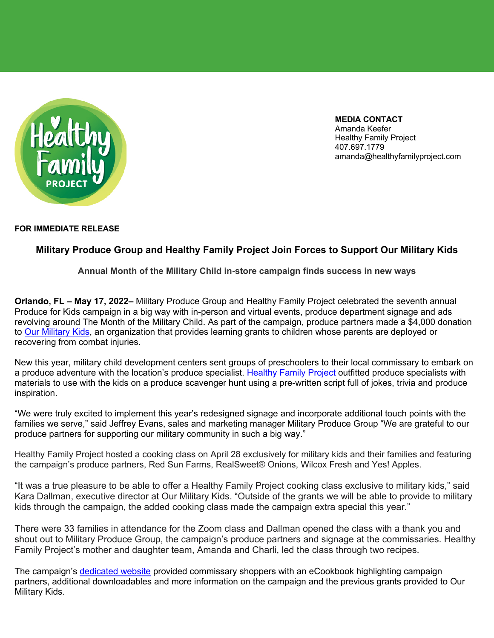

**MEDIA CONTACT** Amanda Keefer Healthy Family Project 407.697.1779 amanda@healthyfamilyproject.com

## **FOR IMMEDIATE RELEASE**

## **Military Produce Group and Healthy Family Project Join Forces to Support Our Military Kids**

**Annual Month of the Military Child in-store campaign finds success in new ways** 

**Orlando, FL – May 17, 2022–** Military Produce Group and Healthy Family Project celebrated the seventh annual Produce for Kids campaign in a big way with in-person and virtual events, produce department signage and ads revolving around The Month of the Military Child. As part of the campaign, produce partners made a \$4,000 donation to Our Military Kids, an organization that provides learning grants to children whose parents are deployed or recovering from combat injuries.

New this year, military child development centers sent groups of preschoolers to their local commissary to embark on a produce adventure with the location's produce specialist. Healthy Family Project outfitted produce specialists with materials to use with the kids on a produce scavenger hunt using a pre-written script full of jokes, trivia and produce inspiration.

"We were truly excited to implement this year's redesigned signage and incorporate additional touch points with the families we serve," said Jeffrey Evans, sales and marketing manager Military Produce Group "We are grateful to our produce partners for supporting our military community in such a big way."

Healthy Family Project hosted a cooking class on April 28 exclusively for military kids and their families and featuring the campaign's produce partners, Red Sun Farms, RealSweet® Onions, Wilcox Fresh and Yes! Apples.

"It was a true pleasure to be able to offer a Healthy Family Project cooking class exclusive to military kids," said Kara Dallman, executive director at Our Military Kids. "Outside of the grants we will be able to provide to military kids through the campaign, the added cooking class made the campaign extra special this year."

There were 33 families in attendance for the Zoom class and Dallman opened the class with a thank you and shout out to Military Produce Group, the campaign's produce partners and signage at the commissaries. Healthy Family Project's mother and daughter team, Amanda and Charli, led the class through two recipes.

The campaign's dedicated website provided commissary shoppers with an eCookbook highlighting campaign partners, additional downloadables and more information on the campaign and the previous grants provided to Our Military Kids.